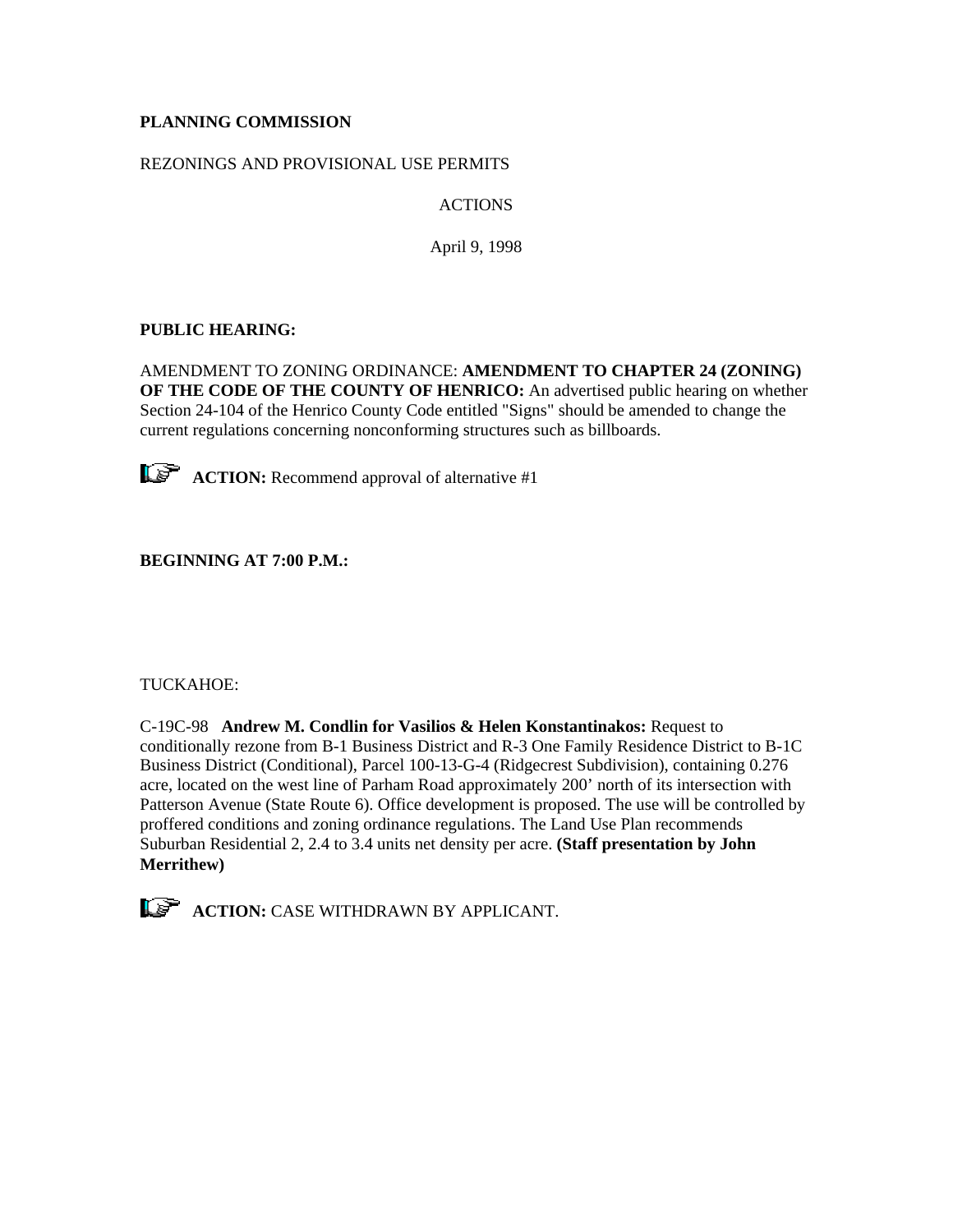# **PLANNING COMMISSION**

## REZONINGS AND PROVISIONAL USE PERMITS

ACTIONS

April 9, 1998

# **PUBLIC HEARING:**

AMENDMENT TO ZONING ORDINANCE: **AMENDMENT TO CHAPTER 24 (ZONING) OF THE CODE OF THE COUNTY OF HENRICO:** An advertised public hearing on whether Section 24-104 of the Henrico County Code entitled "Signs" should be amended to change the current regulations concerning nonconforming structures such as billboards.



**ACTION:** Recommend approval of alternative #1

**BEGINNING AT 7:00 P.M.:**

## TUCKAHOE:

C-19C-98 **Andrew M. Condlin for Vasilios & Helen Konstantinakos:** Request to conditionally rezone from B-1 Business District and R-3 One Family Residence District to B-1C Business District (Conditional), Parcel 100-13-G-4 (Ridgecrest Subdivision), containing 0.276 acre, located on the west line of Parham Road approximately 200' north of its intersection with Patterson Avenue (State Route 6). Office development is proposed. The use will be controlled by proffered conditions and zoning ordinance regulations. The Land Use Plan recommends Suburban Residential 2, 2.4 to 3.4 units net density per acre. **(Staff presentation by John Merrithew)**

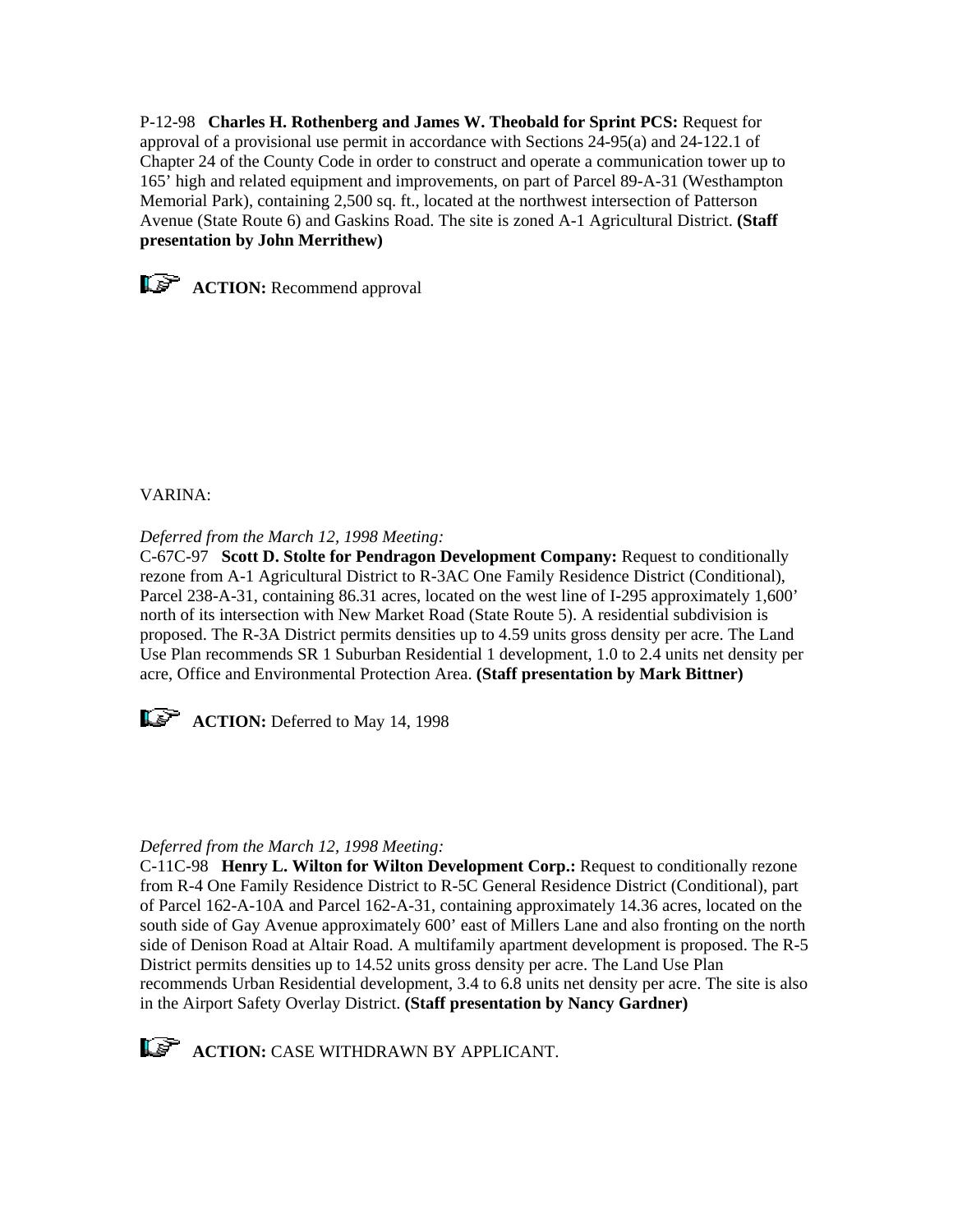P-12-98 **Charles H. Rothenberg and James W. Theobald for Sprint PCS:** Request for approval of a provisional use permit in accordance with Sections 24-95(a) and 24-122.1 of Chapter 24 of the County Code in order to construct and operate a communication tower up to 165' high and related equipment and improvements, on part of Parcel 89-A-31 (Westhampton Memorial Park), containing 2,500 sq. ft., located at the northwest intersection of Patterson Avenue (State Route 6) and Gaskins Road. The site is zoned A-1 Agricultural District. **(Staff presentation by John Merrithew)**



**ACTION:** Recommend approval

## VARINA:

*Deferred from the March 12, 1998 Meeting:*

C-67C-97 **Scott D. Stolte for Pendragon Development Company:** Request to conditionally rezone from A-1 Agricultural District to R-3AC One Family Residence District (Conditional), Parcel 238-A-31, containing 86.31 acres, located on the west line of I-295 approximately 1,600' north of its intersection with New Market Road (State Route 5). A residential subdivision is proposed. The R-3A District permits densities up to 4.59 units gross density per acre. The Land Use Plan recommends SR 1 Suburban Residential 1 development, 1.0 to 2.4 units net density per acre, Office and Environmental Protection Area. **(Staff presentation by Mark Bittner)**



**ACTION:** Deferred to May 14, 1998

## *Deferred from the March 12, 1998 Meeting:*

C-11C-98 **Henry L. Wilton for Wilton Development Corp.:** Request to conditionally rezone from R-4 One Family Residence District to R-5C General Residence District (Conditional), part of Parcel 162-A-10A and Parcel 162-A-31, containing approximately 14.36 acres, located on the south side of Gay Avenue approximately 600' east of Millers Lane and also fronting on the north side of Denison Road at Altair Road. A multifamily apartment development is proposed. The R-5 District permits densities up to 14.52 units gross density per acre. The Land Use Plan recommends Urban Residential development, 3.4 to 6.8 units net density per acre. The site is also in the Airport Safety Overlay District. **(Staff presentation by Nancy Gardner)**

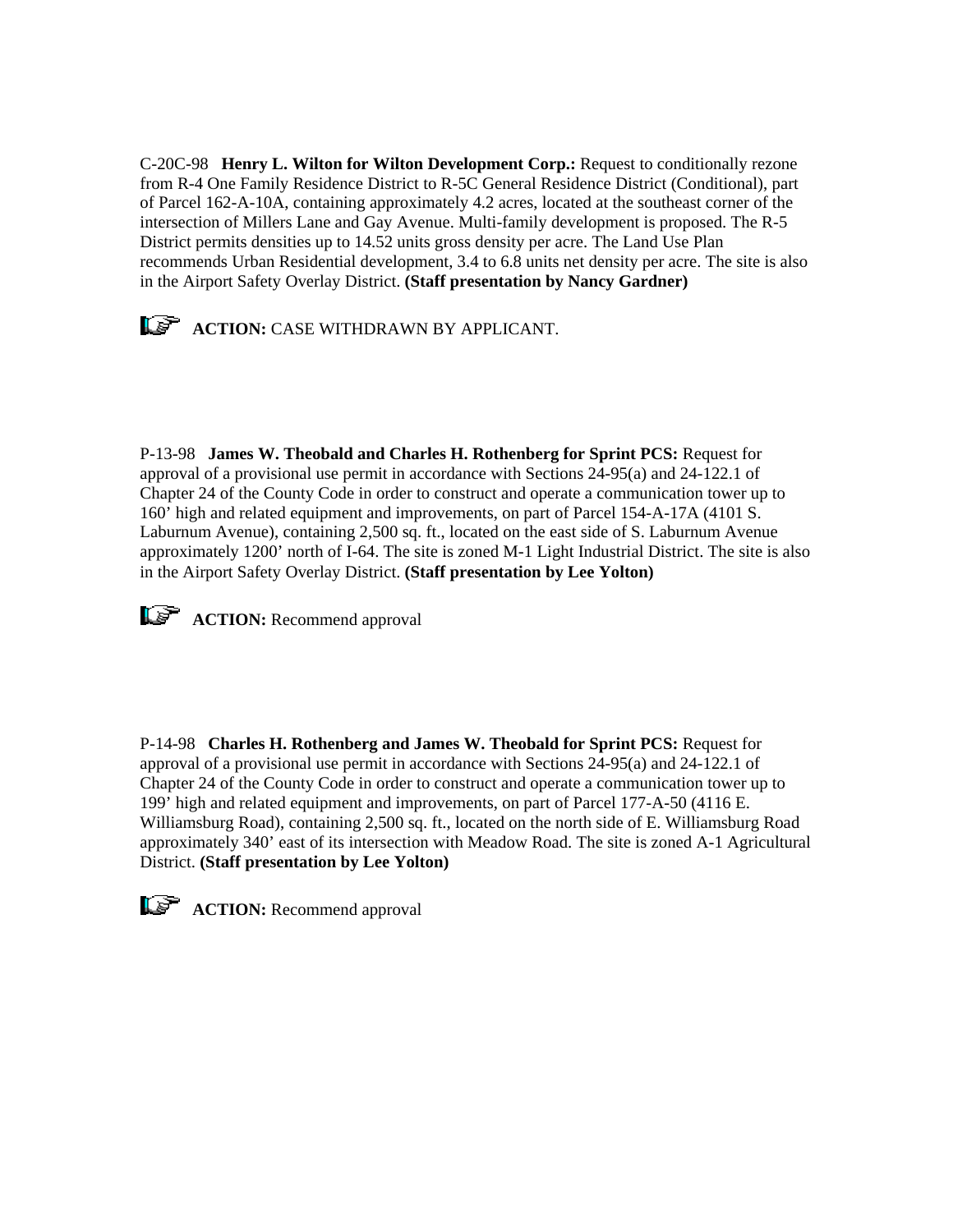C-20C-98 **Henry L. Wilton for Wilton Development Corp.:** Request to conditionally rezone from R-4 One Family Residence District to R-5C General Residence District (Conditional), part of Parcel 162-A-10A, containing approximately 4.2 acres, located at the southeast corner of the intersection of Millers Lane and Gay Avenue. Multi-family development is proposed. The R-5 District permits densities up to 14.52 units gross density per acre. The Land Use Plan recommends Urban Residential development, 3.4 to 6.8 units net density per acre. The site is also in the Airport Safety Overlay District. **(Staff presentation by Nancy Gardner)**



P-13-98 **James W. Theobald and Charles H. Rothenberg for Sprint PCS:** Request for approval of a provisional use permit in accordance with Sections 24-95(a) and 24-122.1 of Chapter 24 of the County Code in order to construct and operate a communication tower up to 160' high and related equipment and improvements, on part of Parcel 154-A-17A (4101 S. Laburnum Avenue), containing 2,500 sq. ft., located on the east side of S. Laburnum Avenue approximately 1200' north of I-64. The site is zoned M-1 Light Industrial District. The site is also in the Airport Safety Overlay District. **(Staff presentation by Lee Yolton)**



**ACTION:** Recommend approval

P-14-98 **Charles H. Rothenberg and James W. Theobald for Sprint PCS:** Request for approval of a provisional use permit in accordance with Sections 24-95(a) and 24-122.1 of Chapter 24 of the County Code in order to construct and operate a communication tower up to 199' high and related equipment and improvements, on part of Parcel 177-A-50 (4116 E. Williamsburg Road), containing 2,500 sq. ft., located on the north side of E. Williamsburg Road approximately 340' east of its intersection with Meadow Road. The site is zoned A-1 Agricultural District. **(Staff presentation by Lee Yolton)**



**ACTION:** Recommend approval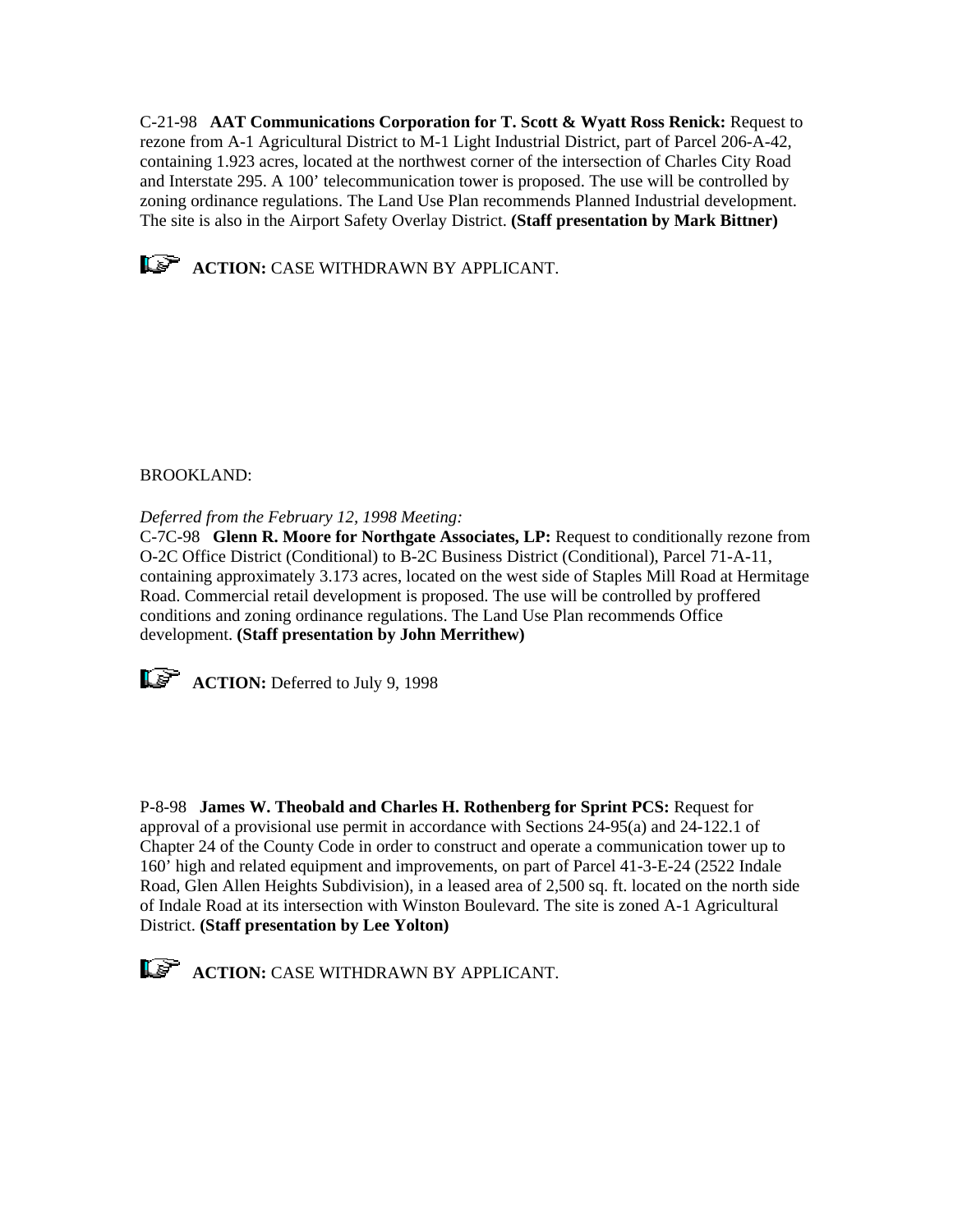C-21-98 **AAT Communications Corporation for T. Scott & Wyatt Ross Renick:** Request to rezone from A-1 Agricultural District to M-1 Light Industrial District, part of Parcel 206-A-42, containing 1.923 acres, located at the northwest corner of the intersection of Charles City Road and Interstate 295. A 100' telecommunication tower is proposed. The use will be controlled by zoning ordinance regulations. The Land Use Plan recommends Planned Industrial development. The site is also in the Airport Safety Overlay District. **(Staff presentation by Mark Bittner)**



**ACTION:** CASE WITHDRAWN BY APPLICANT.

# BROOKLAND:

*Deferred from the February 12, 1998 Meeting:*

C-7C-98 **Glenn R. Moore for Northgate Associates, LP:** Request to conditionally rezone from O-2C Office District (Conditional) to B-2C Business District (Conditional), Parcel 71-A-11, containing approximately 3.173 acres, located on the west side of Staples Mill Road at Hermitage Road. Commercial retail development is proposed. The use will be controlled by proffered conditions and zoning ordinance regulations. The Land Use Plan recommends Office development. **(Staff presentation by John Merrithew)**



**ACTION:** Deferred to July 9, 1998

P-8-98 **James W. Theobald and Charles H. Rothenberg for Sprint PCS:** Request for approval of a provisional use permit in accordance with Sections 24-95(a) and 24-122.1 of Chapter 24 of the County Code in order to construct and operate a communication tower up to 160' high and related equipment and improvements, on part of Parcel 41-3-E-24 (2522 Indale Road, Glen Allen Heights Subdivision), in a leased area of 2,500 sq. ft. located on the north side of Indale Road at its intersection with Winston Boulevard. The site is zoned A-1 Agricultural District. **(Staff presentation by Lee Yolton)** 



**ACTION:** CASE WITHDRAWN BY APPLICANT.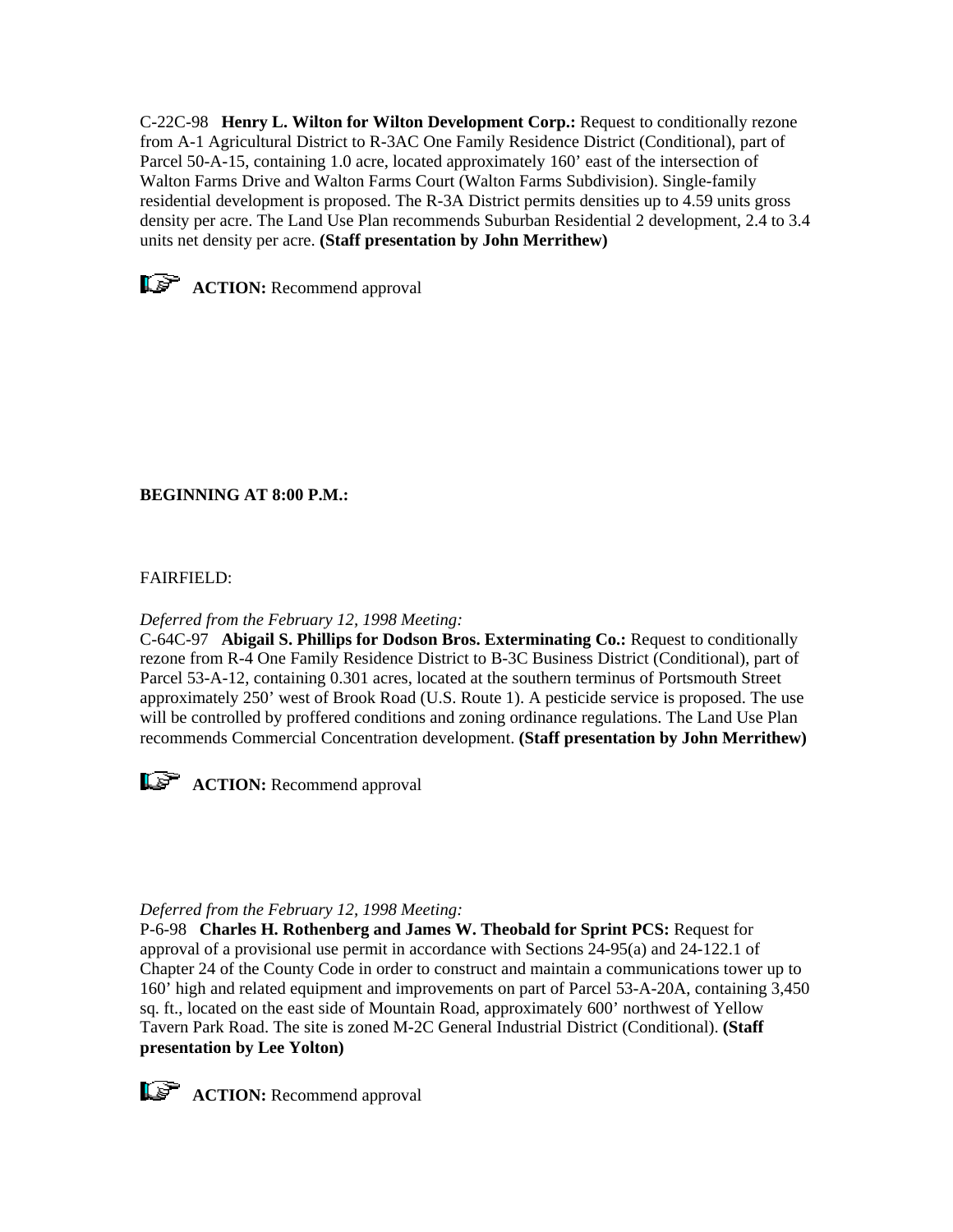C-22C-98 **Henry L. Wilton for Wilton Development Corp.:** Request to conditionally rezone from A-1 Agricultural District to R-3AC One Family Residence District (Conditional), part of Parcel 50-A-15, containing 1.0 acre, located approximately 160' east of the intersection of Walton Farms Drive and Walton Farms Court (Walton Farms Subdivision). Single-family residential development is proposed. The R-3A District permits densities up to 4.59 units gross density per acre. The Land Use Plan recommends Suburban Residential 2 development, 2.4 to 3.4 units net density per acre. **(Staff presentation by John Merrithew)**



**ACTION:** Recommend approval

# **BEGINNING AT 8:00 P.M.:**

# FAIRFIELD:

## *Deferred from the February 12, 1998 Meeting:*

C-64C-97 **Abigail S. Phillips for Dodson Bros. Exterminating Co.:** Request to conditionally rezone from R-4 One Family Residence District to B-3C Business District (Conditional), part of Parcel 53-A-12, containing 0.301 acres, located at the southern terminus of Portsmouth Street approximately 250' west of Brook Road (U.S. Route 1). A pesticide service is proposed. The use will be controlled by proffered conditions and zoning ordinance regulations. The Land Use Plan recommends Commercial Concentration development. **(Staff presentation by John Merrithew)**



**ACTION:** Recommend approval

## *Deferred from the February 12, 1998 Meeting:*

P-6-98 **Charles H. Rothenberg and James W. Theobald for Sprint PCS:** Request for approval of a provisional use permit in accordance with Sections 24-95(a) and 24-122.1 of Chapter 24 of the County Code in order to construct and maintain a communications tower up to 160' high and related equipment and improvements on part of Parcel 53-A-20A, containing 3,450 sq. ft., located on the east side of Mountain Road, approximately 600' northwest of Yellow Tavern Park Road. The site is zoned M-2C General Industrial District (Conditional). **(Staff presentation by Lee Yolton)**



**ACTION:** Recommend approval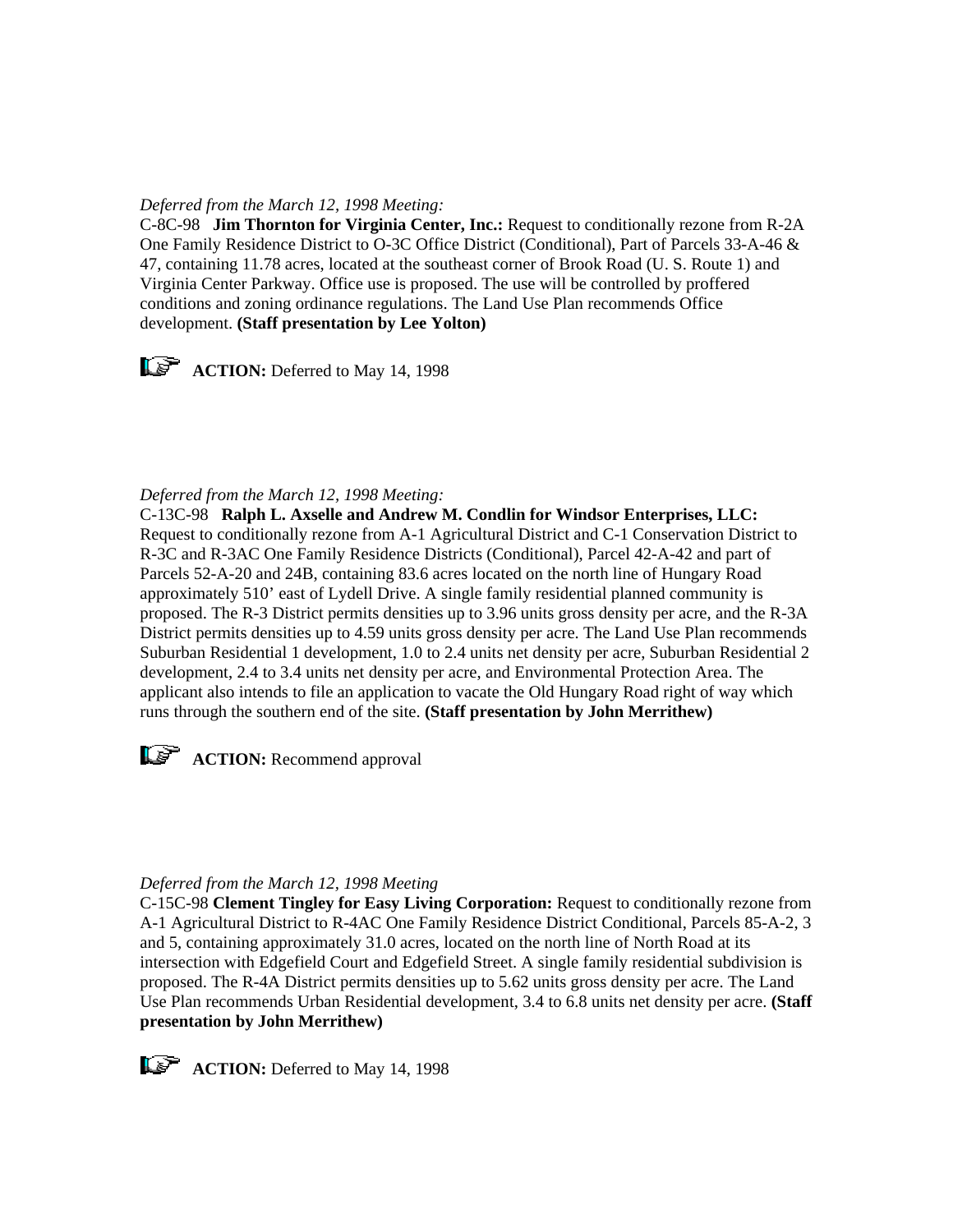## *Deferred from the March 12, 1998 Meeting:*

C-8C-98 **Jim Thornton for Virginia Center, Inc.:** Request to conditionally rezone from R-2A One Family Residence District to O-3C Office District (Conditional), Part of Parcels 33-A-46 & 47, containing 11.78 acres, located at the southeast corner of Brook Road (U. S. Route 1) and Virginia Center Parkway. Office use is proposed. The use will be controlled by proffered conditions and zoning ordinance regulations. The Land Use Plan recommends Office development. **(Staff presentation by Lee Yolton)**



**ACTION:** Deferred to May 14, 1998

## *Deferred from the March 12, 1998 Meeting:*

C-13C-98 **Ralph L. Axselle and Andrew M. Condlin for Windsor Enterprises, LLC:** Request to conditionally rezone from A-1 Agricultural District and C-1 Conservation District to R-3C and R-3AC One Family Residence Districts (Conditional), Parcel 42-A-42 and part of Parcels 52-A-20 and 24B, containing 83.6 acres located on the north line of Hungary Road approximately 510' east of Lydell Drive. A single family residential planned community is proposed. The R-3 District permits densities up to 3.96 units gross density per acre, and the R-3A District permits densities up to 4.59 units gross density per acre. The Land Use Plan recommends Suburban Residential 1 development, 1.0 to 2.4 units net density per acre, Suburban Residential 2 development, 2.4 to 3.4 units net density per acre, and Environmental Protection Area. The applicant also intends to file an application to vacate the Old Hungary Road right of way which runs through the southern end of the site. **(Staff presentation by John Merrithew)**



**ACTION:** Recommend approval

#### *Deferred from the March 12, 1998 Meeting*

C-15C-98 **Clement Tingley for Easy Living Corporation:** Request to conditionally rezone from A-1 Agricultural District to R-4AC One Family Residence District Conditional, Parcels 85-A-2, 3 and 5, containing approximately 31.0 acres, located on the north line of North Road at its intersection with Edgefield Court and Edgefield Street. A single family residential subdivision is proposed. The R-4A District permits densities up to 5.62 units gross density per acre. The Land Use Plan recommends Urban Residential development, 3.4 to 6.8 units net density per acre. **(Staff presentation by John Merrithew)** 



**ACTION:** Deferred to May 14, 1998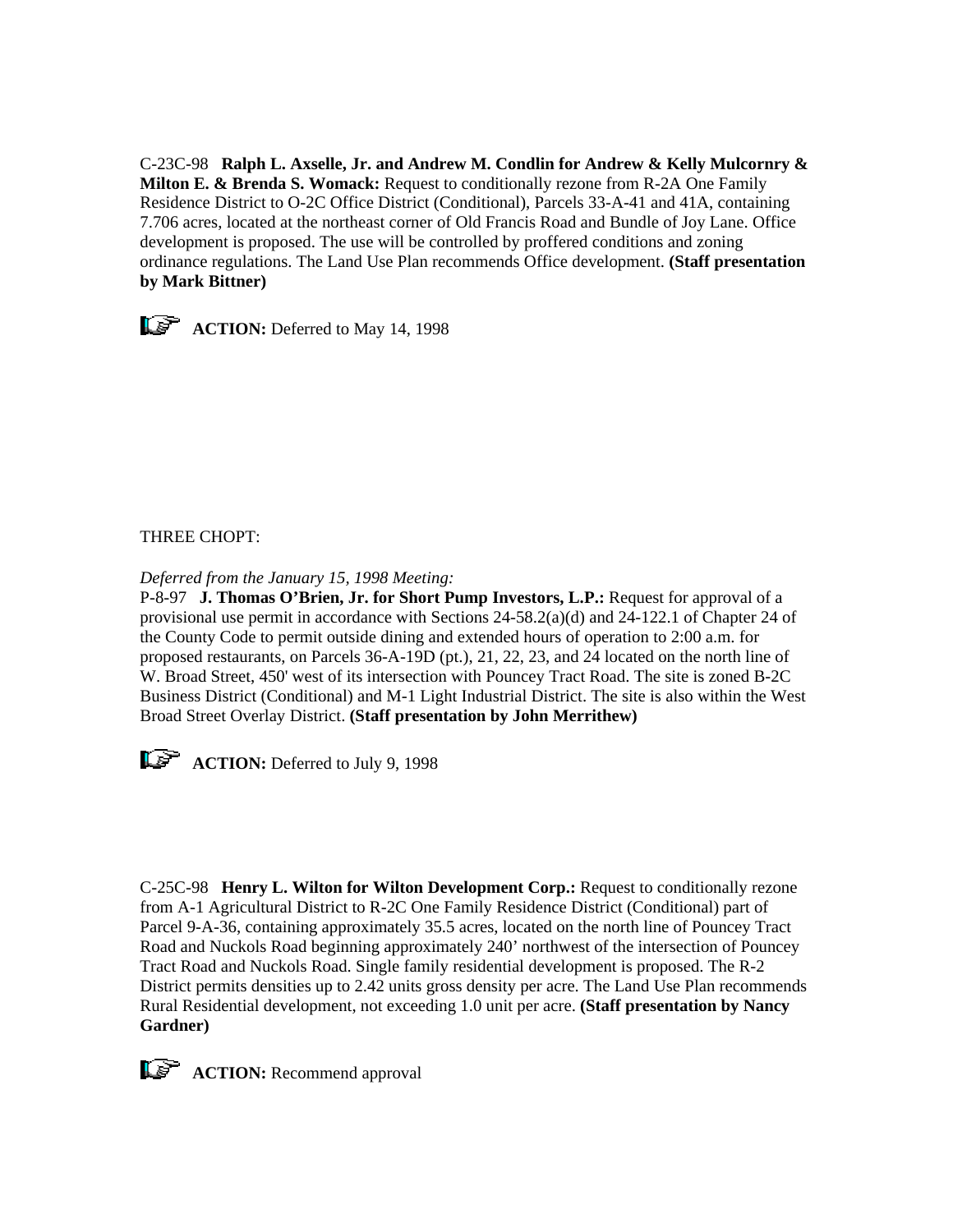C-23C-98 **Ralph L. Axselle, Jr. and Andrew M. Condlin for Andrew & Kelly Mulcornry & Milton E. & Brenda S. Womack:** Request to conditionally rezone from R-2A One Family Residence District to O-2C Office District (Conditional), Parcels 33-A-41 and 41A, containing 7.706 acres, located at the northeast corner of Old Francis Road and Bundle of Joy Lane. Office development is proposed. The use will be controlled by proffered conditions and zoning ordinance regulations. The Land Use Plan recommends Office development. **(Staff presentation by Mark Bittner)**



# THREE CHOPT:

*Deferred from the January 15, 1998 Meeting:*

P-8-97 **J. Thomas O'Brien, Jr. for Short Pump Investors, L.P.:** Request for approval of a provisional use permit in accordance with Sections 24-58.2(a)(d) and 24-122.1 of Chapter 24 of the County Code to permit outside dining and extended hours of operation to 2:00 a.m. for proposed restaurants, on Parcels 36-A-19D (pt.), 21, 22, 23, and 24 located on the north line of W. Broad Street, 450' west of its intersection with Pouncey Tract Road. The site is zoned B-2C Business District (Conditional) and M-1 Light Industrial District. The site is also within the West Broad Street Overlay District. **(Staff presentation by John Merrithew)**



**ACTION:** Deferred to July 9, 1998

C-25C-98 **Henry L. Wilton for Wilton Development Corp.:** Request to conditionally rezone from A-1 Agricultural District to R-2C One Family Residence District (Conditional) part of Parcel 9-A-36, containing approximately 35.5 acres, located on the north line of Pouncey Tract Road and Nuckols Road beginning approximately 240' northwest of the intersection of Pouncey Tract Road and Nuckols Road. Single family residential development is proposed. The R-2 District permits densities up to 2.42 units gross density per acre. The Land Use Plan recommends Rural Residential development, not exceeding 1.0 unit per acre. **(Staff presentation by Nancy Gardner)**



**ACTION:** Recommend approval